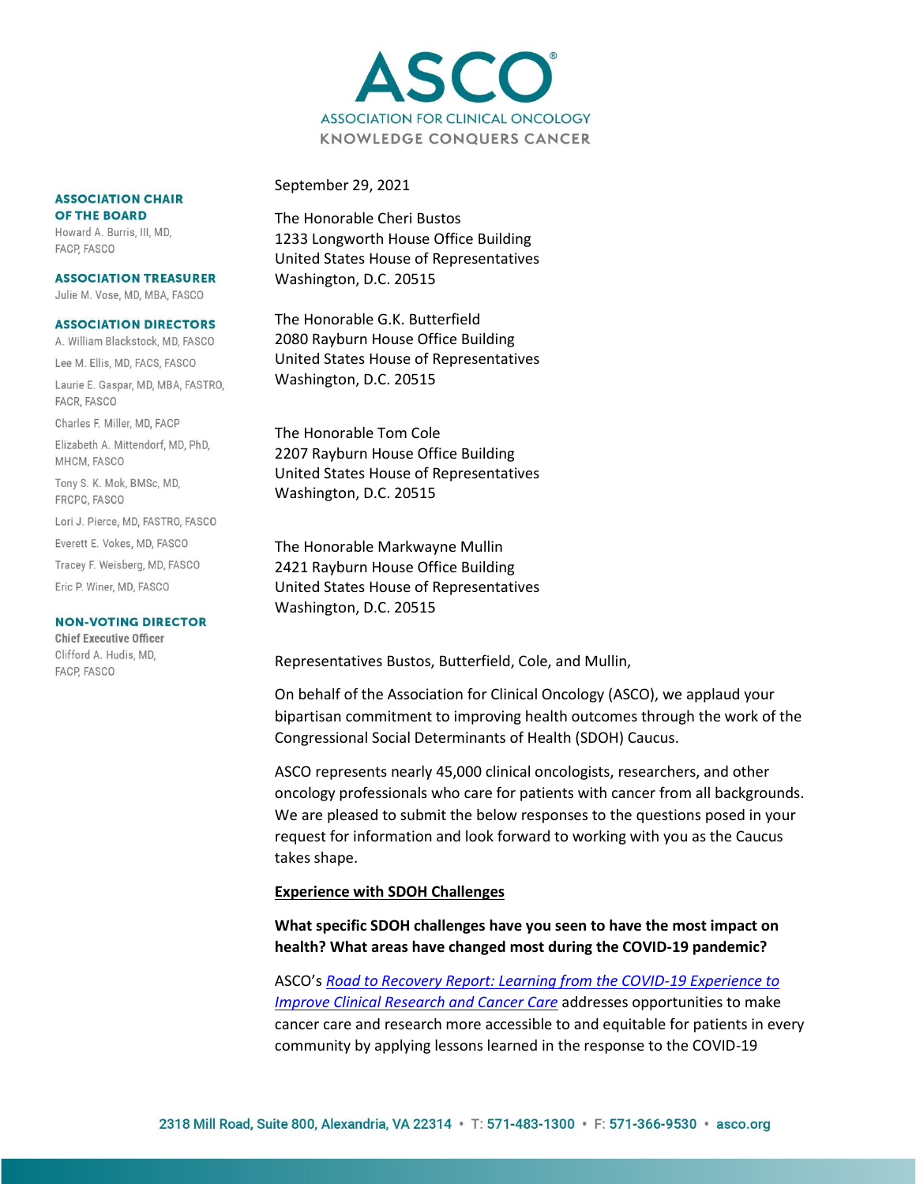

### September 29, 2021

The Honorable Cheri Bustos 1233 Longworth House Office Building United States House of Representatives Washington, D.C. 20515

The Honorable G.K. Butterfield 2080 Rayburn House Office Building United States House of Representatives Washington, D.C. 20515

The Honorable Tom Cole 2207 Rayburn House Office Building United States House of Representatives Washington, D.C. 20515

The Honorable Markwayne Mullin 2421 Rayburn House Office Building United States House of Representatives Washington, D.C. 20515

Representatives Bustos, Butterfield, Cole, and Mullin,

On behalf of the Association for Clinical Oncology (ASCO), we applaud your bipartisan commitment to improving health outcomes through the work of the Congressional Social Determinants of Health (SDOH) Caucus.

ASCO represents nearly 45,000 clinical oncologists, researchers, and other oncology professionals who care for patients with cancer from all backgrounds. We are pleased to submit the below responses to the questions posed in your request for information and look forward to working with you as the Caucus takes shape.

#### **Experience with SDOH Challenges**

## **What specific SDOH challenges have you seen to have the most impact on health? What areas have changed most during the COVID-19 pandemic?**

ASCO's *[Road to Recovery Report: Learning from the COVID-19 Experience to](https://ascopubs.org/doi/full/10.1200/JCO.20.02953)  [Improve Clinical Research and Cancer Care](https://ascopubs.org/doi/full/10.1200/JCO.20.02953)* addresses opportunities to make cancer care and research more accessible to and equitable for patients in every community by applying lessons learned in the response to the COVID-19

#### **ASSOCIATION CHAIR** OF THE BOARD

Howard A. Burris, III, MD. FACP, FASCO

#### **ASSOCIATION TREASURER**

Julie M. Vose, MD, MBA, FASCO

#### **ASSOCIATION DIRECTORS**

A. William Blackstock, MD, FASCO Lee M. Ellis, MD, FACS, FASCO

Laurie E. Gaspar, MD, MBA, FASTRO, FACR, FASCO

Charles F. Miller, MD, FACP

Elizabeth A. Mittendorf, MD, PhD, MHCM, FASCO

Tony S. K. Mok, BMSc, MD, FRCPC, FASCO

Lori J. Pierce, MD, FASTRO, FASCO

Everett E. Vokes, MD, FASCO

Tracey F. Weisberg, MD, FASCO

Eric P. Winer, MD, FASCO

#### **NON-VOTING DIRECTOR**

**Chief Executive Officer** Clifford A. Hudis, MD, FACP, FASCO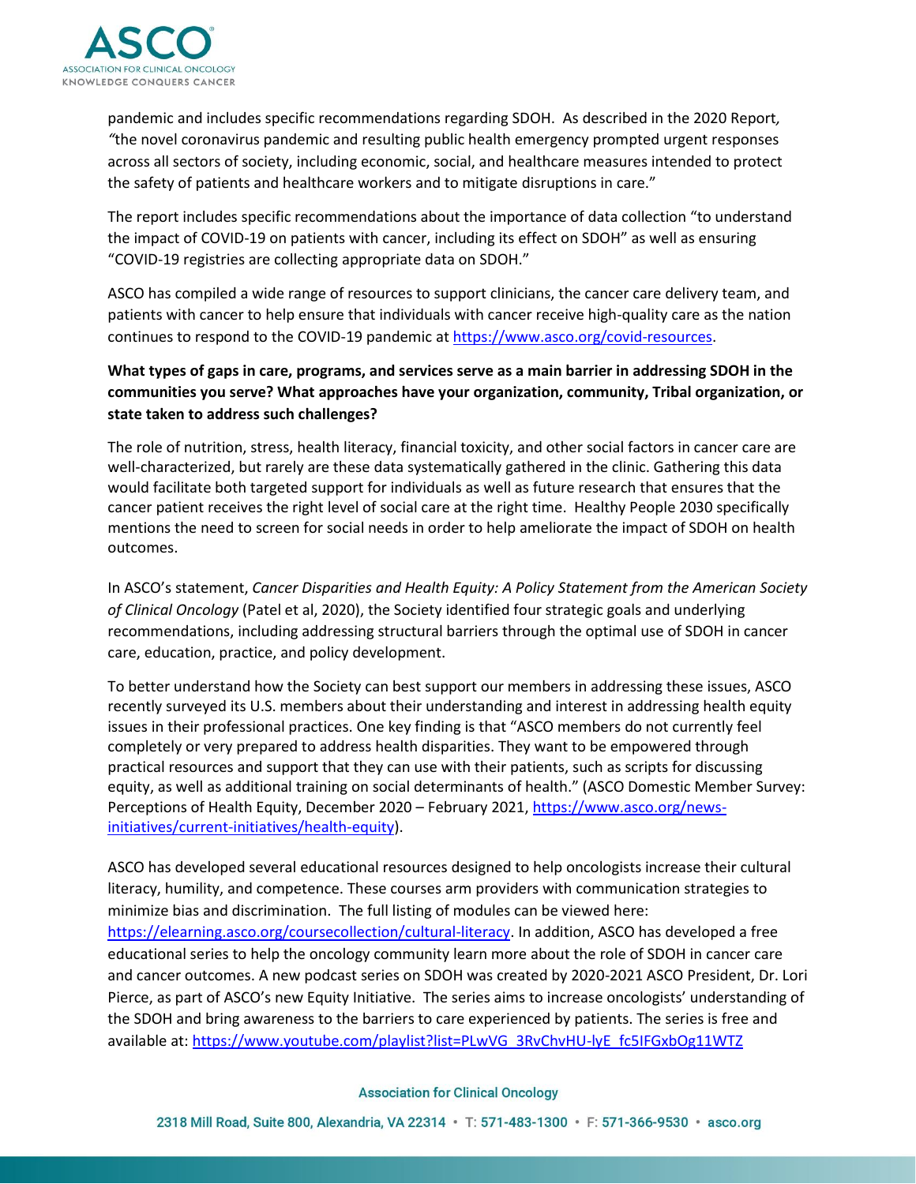

pandemic and includes specific recommendations regarding SDOH. As described in the 2020 Report*, "*the novel coronavirus pandemic and resulting public health emergency prompted urgent responses across all sectors of society, including economic, social, and healthcare measures intended to protect the safety of patients and healthcare workers and to mitigate disruptions in care."

The report includes specific recommendations about the importance of data collection "to understand the impact of COVID-19 on patients with cancer, including its effect on SDOH" as well as ensuring "COVID-19 registries are collecting appropriate data on SDOH."

ASCO has compiled a wide range of resources to support clinicians, the cancer care delivery team, and patients with cancer to help ensure that individuals with cancer receive high-quality care as the nation continues to respond to the COVID-19 pandemic at [https://www.asco.org/covid-resources.](https://www.asco.org/covid-resources)

# **What types of gaps in care, programs, and services serve as a main barrier in addressing SDOH in the communities you serve? What approaches have your organization, community, Tribal organization, or state taken to address such challenges?**

The role of nutrition, stress, health literacy, financial toxicity, and other social factors in cancer care are well-characterized, but rarely are these data systematically gathered in the clinic. Gathering this data would facilitate both targeted support for individuals as well as future research that ensures that the cancer patient receives the right level of social care at the right time. Healthy People 2030 specifically mentions the need to screen for social needs in order to help ameliorate the impact of SDOH on health outcomes.

In ASCO's statement, *Cancer Disparities and Health Equity: A Policy Statement from the American Society of Clinical Oncology* (Patel et al, 2020), the Society identified four strategic goals and underlying recommendations, including addressing structural barriers through the optimal use of SDOH in cancer care, education, practice, and policy development.

To better understand how the Society can best support our members in addressing these issues, ASCO recently surveyed its U.S. members about their understanding and interest in addressing health equity issues in their professional practices. One key finding is that "ASCO members do not currently feel completely or very prepared to address health disparities. They want to be empowered through practical resources and support that they can use with their patients, such as scripts for discussing equity, as well as additional training on social determinants of health." (ASCO Domestic Member Survey: Perceptions of Health Equity, December 2020 – February 2021, [https://www.asco.org/news](https://www.asco.org/news-initiatives/current-initiatives/health-equity)[initiatives/current-initiatives/health-equity\)](https://www.asco.org/news-initiatives/current-initiatives/health-equity).

ASCO has developed several educational resources designed to help oncologists increase their cultural literacy, humility, and competence. These courses arm providers with communication strategies to minimize bias and discrimination. The full listing of modules can be viewed here: [https://elearning.asco.org/coursecollection/cultural-literacy.](https://elearning.asco.org/coursecollection/cultural-literacy) In addition, ASCO has developed a free educational series to help the oncology community learn more about the role of SDOH in cancer care and cancer outcomes. A new podcast series on SDOH was created by 2020-2021 ASCO President, Dr. Lori Pierce, as part of ASCO's new Equity Initiative. The series aims to increase oncologists' understanding of the SDOH and bring awareness to the barriers to care experienced by patients. The series is free and available at[: https://www.youtube.com/playlist?list=PLwVG\\_3RvChvHU-lyE\\_fc5IFGxbOg11WTZ](https://www.youtube.com/playlist?list=PLwVG_3RvChvHU-lyE_fc5IFGxbOg11WTZ)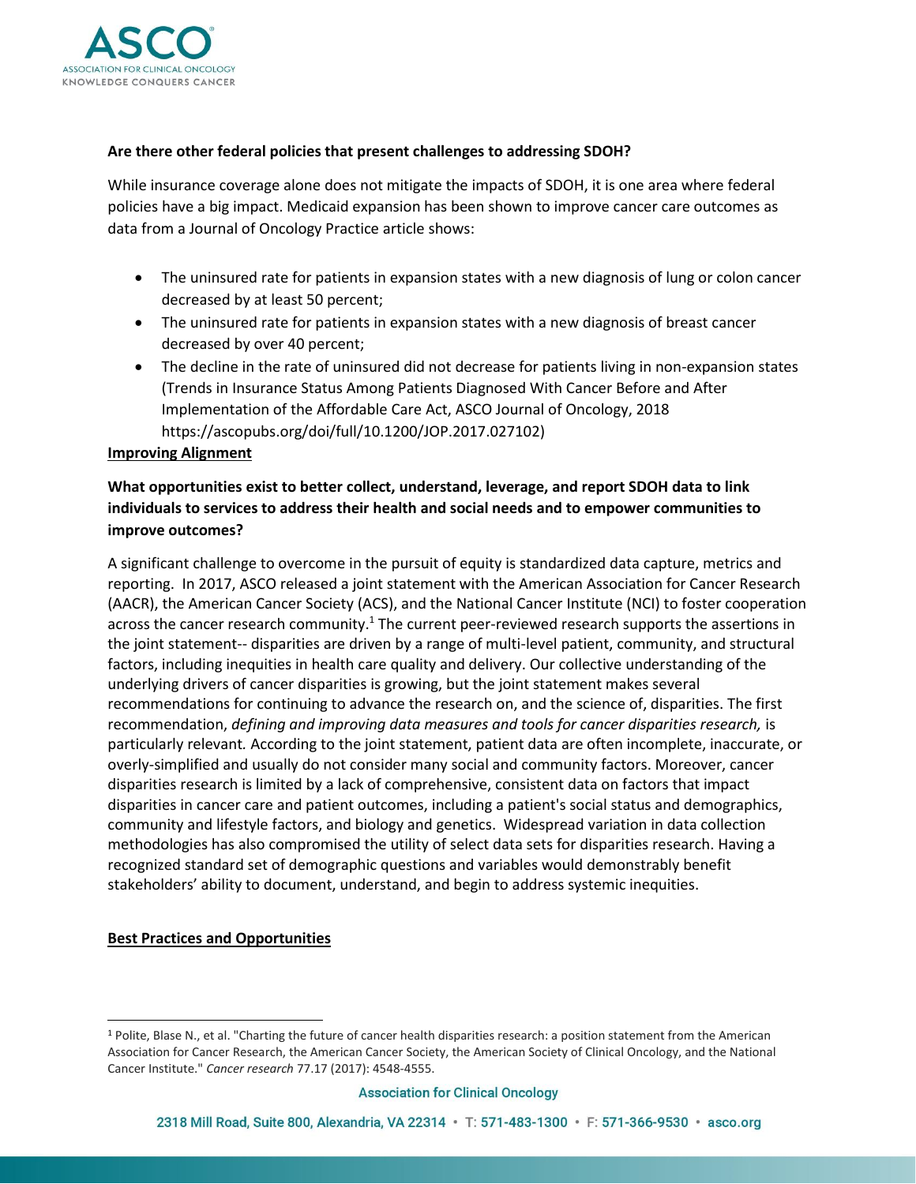

## **Are there other federal policies that present challenges to addressing SDOH?**

While insurance coverage alone does not mitigate the impacts of SDOH, it is one area where federal policies have a big impact. Medicaid expansion has been shown to improve cancer care outcomes as data from a Journal of Oncology Practice article shows:

- The uninsured rate for patients in expansion states with a new diagnosis of lung or colon cancer decreased by at least 50 percent;
- The uninsured rate for patients in expansion states with a new diagnosis of breast cancer decreased by over 40 percent;
- The decline in the rate of uninsured did not decrease for patients living in non-expansion states (Trends in Insurance Status Among Patients Diagnosed With Cancer Before and After Implementation of the Affordable Care Act, ASCO Journal of Oncology, 2018 https://ascopubs.org/doi/full/10.1200/JOP.2017.027102)

## **Improving Alignment**

# **What opportunities exist to better collect, understand, leverage, and report SDOH data to link individuals to services to address their health and social needs and to empower communities to improve outcomes?**

A significant challenge to overcome in the pursuit of equity is standardized data capture, metrics and reporting. In 2017, ASCO released a joint statement with the American Association for Cancer Research (AACR), the American Cancer Society (ACS), and the National Cancer Institute (NCI) to foster cooperation across the cancer research community.<sup>1</sup> The current peer-reviewed research supports the assertions in the joint statement-- disparities are driven by a range of multi-level patient, community, and structural factors, including inequities in health care quality and delivery. Our collective understanding of the underlying drivers of cancer disparities is growing, but the joint statement makes several recommendations for continuing to advance the research on, and the science of, disparities. The first recommendation, *defining and improving data measures and tools for cancer disparities research,* is particularly relevant*.* According to the joint statement, patient data are often incomplete, inaccurate, or overly-simplified and usually do not consider many social and community factors. Moreover, cancer disparities research is limited by a lack of comprehensive, consistent data on factors that impact disparities in cancer care and patient outcomes, including a patient's social status and demographics, community and lifestyle factors, and biology and genetics. Widespread variation in data collection methodologies has also compromised the utility of select data sets for disparities research. Having a recognized standard set of demographic questions and variables would demonstrably benefit stakeholders' ability to document, understand, and begin to address systemic inequities.

### **Best Practices and Opportunities**

<sup>1</sup> Polite, Blase N., et al. "Charting the future of cancer health disparities research: a position statement from the American Association for Cancer Research, the American Cancer Society, the American Society of Clinical Oncology, and the National Cancer Institute." *Cancer research* 77.17 (2017): 4548-4555.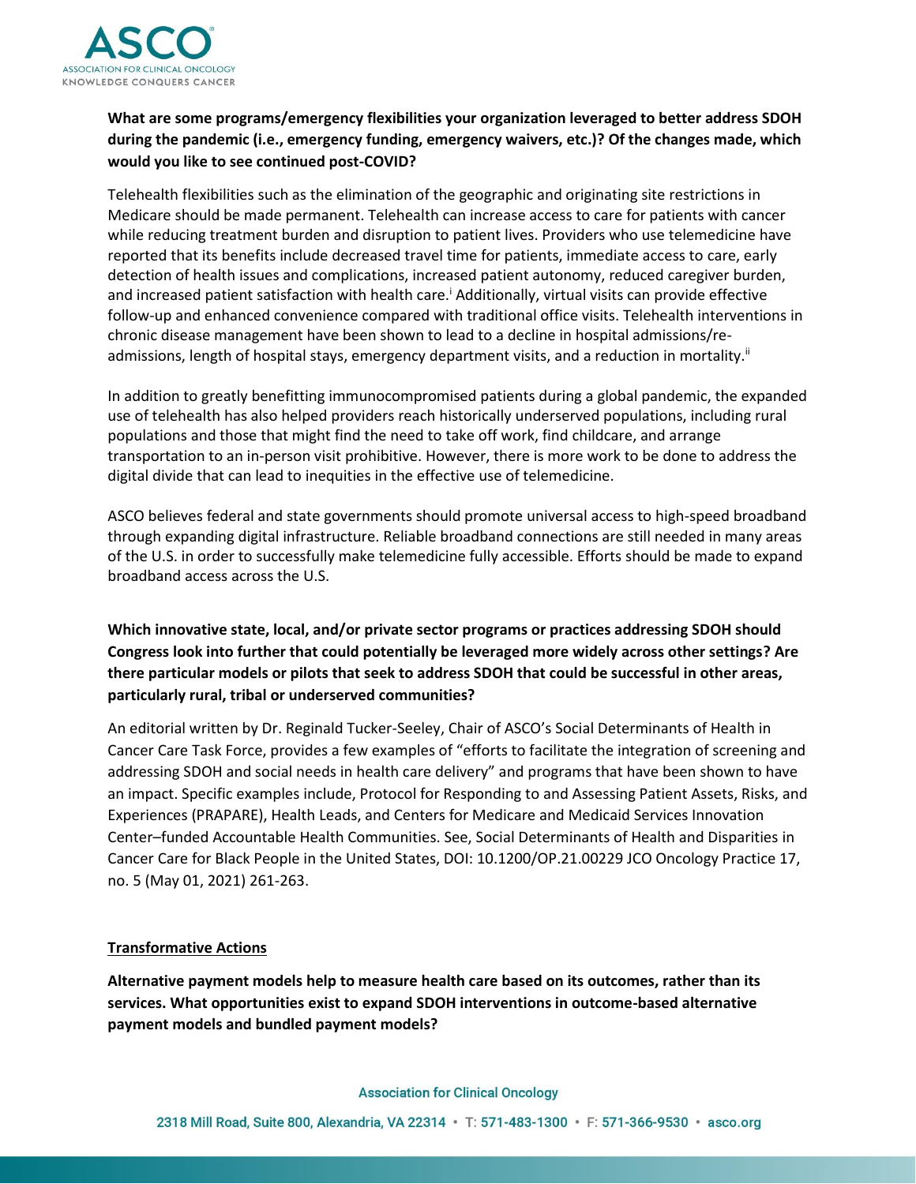

# **What are some programs/emergency flexibilities your organization leveraged to better address SDOH during the pandemic (i.e., emergency funding, emergency waivers, etc.)? Of the changes made, which would you like to see continued post-COVID?**

Telehealth flexibilities such as the elimination of the geographic and originating site restrictions in Medicare should be made permanent. Telehealth can increase access to care for patients with cancer while reducing treatment burden and disruption to patient lives. Providers who use telemedicine have reported that its benefits include decreased travel time for patients, immediate access to care, early detection of health issues and complications, increased patient autonomy, reduced caregiver burden, and increased patient satisfaction with health care.<sup>1</sup> Additionally, virtual visits can provide effective follow-up and enhanced convenience compared with traditional office visits. Telehealth interventions in chronic disease management have been shown to lead to a decline in hospital admissions/readmissions, length of hospital stays, emergency department visits, and a reduction in mortality.<sup>ii</sup>

In addition to greatly benefitting immunocompromised patients during a global pandemic, the expanded use of telehealth has also helped providers reach historically underserved populations, including rural populations and those that might find the need to take off work, find childcare, and arrange transportation to an in-person visit prohibitive. However, there is more work to be done to address the digital divide that can lead to inequities in the effective use of telemedicine.

ASCO believes federal and state governments should promote universal access to high-speed broadband through expanding digital infrastructure. Reliable broadband connections are still needed in many areas of the U.S. in order to successfully make telemedicine fully accessible. Efforts should be made to expand broadband access across the U.S.

**Which innovative state, local, and/or private sector programs or practices addressing SDOH should Congress look into further that could potentially be leveraged more widely across other settings? Are there particular models or pilots that seek to address SDOH that could be successful in other areas, particularly rural, tribal or underserved communities?**

An editorial written by Dr. Reginald Tucker-Seeley, Chair of ASCO's Social Determinants of Health in Cancer Care Task Force, provides a few examples of "efforts to facilitate the integration of screening and addressing SDOH and social needs in health care delivery" and programs that have been shown to have an impact. Specific examples include, Protocol for Responding to and Assessing Patient Assets, Risks, and Experiences (PRAPARE), Health Leads, and Centers for Medicare and Medicaid Services Innovation Center–funded Accountable Health Communities. See, Social Determinants of Health and Disparities in Cancer Care for Black People in the United States, DOI: 10.1200/OP.21.00229 JCO Oncology Practice 17, no. 5 (May 01, 2021) 261-263.

## **Transformative Actions**

**Alternative payment models help to measure health care based on its outcomes, rather than its services. What opportunities exist to expand SDOH interventions in outcome-based alternative payment models and bundled payment models?**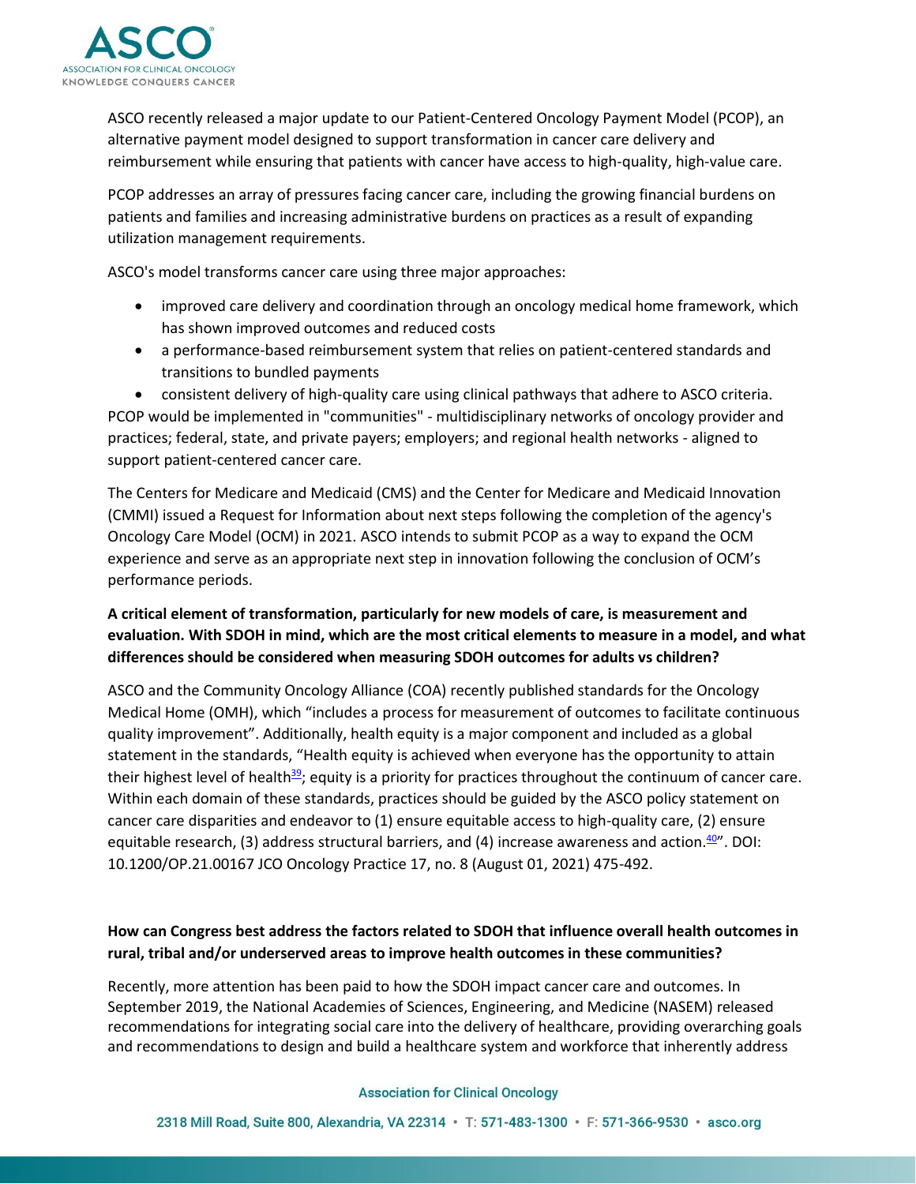

ASCO recently released a major update to our Patient-Centered Oncology Payment Model (PCOP), an alternative payment model designed to support transformation in cancer care delivery and reimbursement while ensuring that patients with cancer have access to high-quality, high-value care.

PCOP addresses an array of pressures facing cancer care, including the growing financial burdens on patients and families and increasing administrative burdens on practices as a result of expanding utilization management requirements.

ASCO's model transforms cancer care using three major approaches:

- improved care delivery and coordination through an oncology medical home framework, which has shown improved outcomes and reduced costs
- a performance-based reimbursement system that relies on patient-centered standards and transitions to bundled payments

• consistent delivery of high-quality care using clinical pathways that adhere to ASCO criteria. PCOP would be implemented in "communities" - multidisciplinary networks of oncology provider and practices; federal, state, and private payers; employers; and regional health networks - aligned to support patient-centered cancer care.

The Centers for Medicare and Medicaid (CMS) and the Center for Medicare and Medicaid Innovation (CMMI) issued a Request for Information about next steps following the completion of the agency's Oncology Care Model (OCM) in 2021. ASCO intends to submit PCOP as a way to expand the OCM experience and serve as an appropriate next step in innovation following the conclusion of OCM's performance periods.

# **A critical element of transformation, particularly for new models of care, is measurement and evaluation. With SDOH in mind, which are the most critical elements to measure in a model, and what differences should be considered when measuring SDOH outcomes for adults vs children?**

ASCO and the Community Oncology Alliance (COA) recently published standards for the Oncology Medical Home (OMH), which "includes a process for measurement of outcomes to facilitate continuous quality improvement". Additionally, health equity is a major component and included as a global statement in the standards, "Health equity is achieved when everyone has the opportunity to attain their highest level of health<sup>[39](https://ascopubs.org/doi/full/10.1200/OP.21.00167)</sup>; equity is a priority for practices throughout the continuum of cancer care. Within each domain of these standards, practices should be guided by the ASCO policy statement on cancer care disparities and endeavor to (1) ensure equitable access to high-quality care, (2) ensure equitable research, (3) address structural barriers, and (4) increase awareness and action. $40''$  $40''$ . DOI: 10.1200/OP.21.00167 JCO Oncology Practice 17, no. 8 (August 01, 2021) 475-492.

## **How can Congress best address the factors related to SDOH that influence overall health outcomes in rural, tribal and/or underserved areas to improve health outcomes in these communities?**

Recently, more attention has been paid to how the SDOH impact cancer care and outcomes. In September 2019, the National Academies of Sciences, Engineering, and Medicine (NASEM) released recommendations for integrating social care into the delivery of healthcare, providing overarching goals and recommendations to design and build a healthcare system and workforce that inherently address